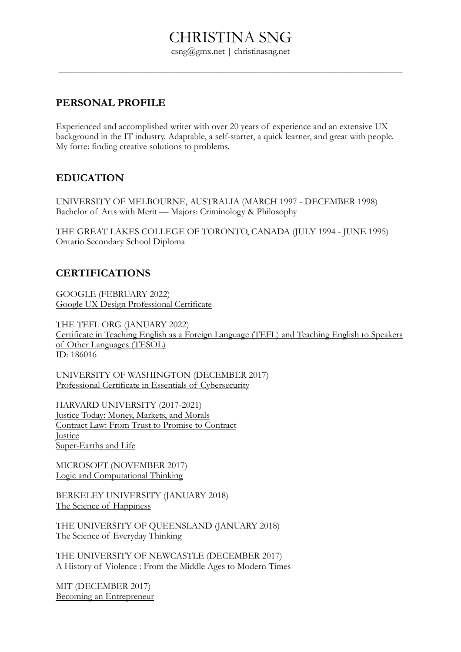csng@gmx.net | christinasng.net

 $\overline{\phantom{a}}$  , and the contract of the contract of the contract of the contract of the contract of the contract of the contract of the contract of the contract of the contract of the contract of the contract of the contrac

# **PERSONAL PROFILE**

Experienced and accomplished writer with over 20 years of experience and an extensive UX background in the IT industry. Adaptable, a self-starter, a quick learner, and great with people. My forte: finding creative solutions to problems.

# **EDUCATION**

UNIVERSITY OF MELBOURNE, AUSTRALIA (MARCH 1997 - DECEMBER 1998) Bachelor of Arts with Merit — Majors: Criminology & Philosophy

THE GREAT LAKES COLLEGE OF TORONTO, CANADA (JULY 1994 - JUNE 1995) Ontario Secondary School Diploma

# **CERTIFICATIONS**

GOOGLE (FEBRUARY 2022) [Google UX Design Professional Certificate](https://www.coursera.org/account/accomplishments/specialization/certificate/PPPB74VSEWAK)

THE TEFL ORG (JANUARY 2022) [Certificate in Teaching English as a Foreign Language \(TEFL\) and Teaching English to Speakers](https://www.tefl.org/certificate-verification/)  [of Other Languages \(TESOL\)](https://www.tefl.org/certificate-verification/) ID: 186016

UNIVERSITY OF WASHINGTON (DECEMBER 2017) [Professional Certificate in Essentials of Cybersecurity](https://credentials.edx.org/credentials/44cae5b87e264053915cefd0b19758bb/)

HARVARD UNIVERSITY (2017-2021) [Justice Today: Money, Markets, and Morals](https://courses.edx.org/certificates/70c77618ddf94a65b7f716438a098db4) [Contract Law: From Trust to Promise to Contract](https://courses.edx.org/certificates/338264147d284a2ca253528ec09015d3) **[Justice](https://courses.edx.org/certificates/78129bd325914257baa149d1546fa97b)** [Super-Earths and Life](https://courses.edx.org/certificates/d3e84b23c29a46a789a09185550ee99c)

MICROSOFT (NOVEMBER 2017) [Logic and Computational Thinking](https://courses.edx.org/certificates/f9a89acaab9c4022ae18751d0ec5d8ed)

BERKELEY UNIVERSITY (JANUARY 2018) [The Science of Happiness](https://courses.edx.org/certificates/eb5098cf228a4334b8eabb5e23b7d0d4)

THE UNIVERSITY OF QUEENSLAND (JANUARY 2018) [The Science of Everyday Thinking](https://courses.edx.org/certificates/a59edb5c712742cdadba04d158c701ea)

THE UNIVERSITY OF NEWCASTLE (DECEMBER 2017) [A History of Violence : From the Middle Ages to Modern Times](https://courses.edx.org/certificates/7eb0d027a2a242e4977ee5f21c70750a)

MIT (DECEMBER 2017) [Becoming an Entrepreneur](https://courses.edx.org/certificates/63d2f64e6c3f4818808f836699a1c776)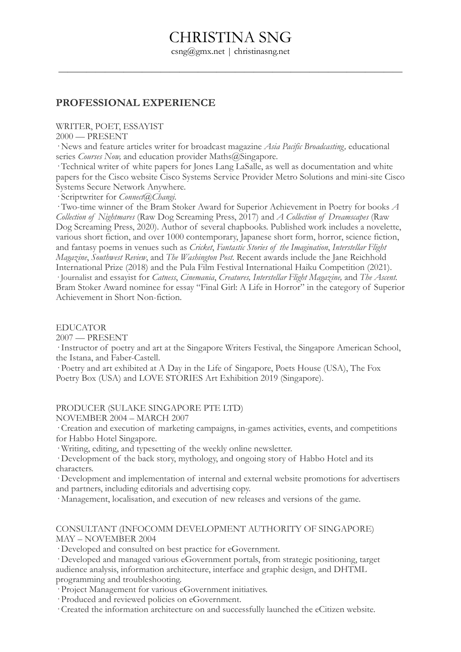csng@gmx.net | christinasng.net

 $\overline{\phantom{a}}$  , and the contract of the contract of the contract of the contract of the contract of the contract of the contract of the contract of the contract of the contract of the contract of the contract of the contrac

#### **PROFESSIONAL EXPERIENCE**

WRITER, POET, ESSAYIST

2000 — PRESENT

· News and feature articles writer for broadcast magazine *Asia Pacific Broadcasting,* educational series *Courses Now*, and education provider Maths@Singapore.

· Technical writer of white papers for Jones Lang LaSalle, as well as documentation and white papers for the Cisco website Cisco Systems Service Provider Metro Solutions and mini-site Cisco Systems Secure Network Anywhere.

· Scriptwriter for *Connect@Changi*.

· Two-time winner of the Bram Stoker Award for Superior Achievement in Poetry for books *A Collection of Nightmares* (Raw Dog Screaming Press, 2017) and *A Collection of Dreamscapes* (Raw Dog Screaming Press, 2020). Author of several chapbooks. Published work includes a novelette, various short fiction, and over 1000 contemporary, Japanese short form, horror, science fiction, and fantasy poems in venues such as *Cricket*, *Fantastic Stories of the Imagination*, *Interstellar Flight Magazine*, *Southwest Review*, and *The Washington Post*. Recent awards include the Jane Reichhold International Prize (2018) and the Pula Film Festival International Haiku Competition (2021). · Journalist and essayist for *Catness*, *Cinemania*, *Creatures, Interstellar Flight Magazine,* and *The Ascent.* Bram Stoker Award nominee for essay "Final Girl: A Life in Horror" in the category of Superior Achievement in Short Non-fiction.

EDUCATOR

2007 — PRESENT

· Instructor of poetry and art at the Singapore Writers Festival, the Singapore American School, the Istana, and Faber-Castell.

· Poetry and art exhibited at A Day in the Life of Singapore, Poets House (USA), The Fox Poetry Box (USA) and LOVE STORIES Art Exhibition 2019 (Singapore).

PRODUCER (SULAKE SINGAPORE PTE LTD)

NOVEMBER 2004 – MARCH 2007

· Creation and execution of marketing campaigns, in-games activities, events, and competitions for Habbo Hotel Singapore.

· Writing, editing, and typesetting of the weekly online newsletter.

· Development of the back story, mythology, and ongoing story of Habbo Hotel and its characters.

· Development and implementation of internal and external website promotions for advertisers and partners, including editorials and advertising copy.

· Management, localisation, and execution of new releases and versions of the game.

#### CONSULTANT (INFOCOMM DEVELOPMENT AUTHORITY OF SINGAPORE) MAY – NOVEMBER 2004

· Developed and consulted on best practice for eGovernment.

· Developed and managed various eGovernment portals, from strategic positioning, target audience analysis, information architecture, interface and graphic design, and DHTML programming and troubleshooting.

· Project Management for various eGovernment initiatives.

· Produced and reviewed policies on eGovernment.

· Created the information architecture on and successfully launched the eCitizen website.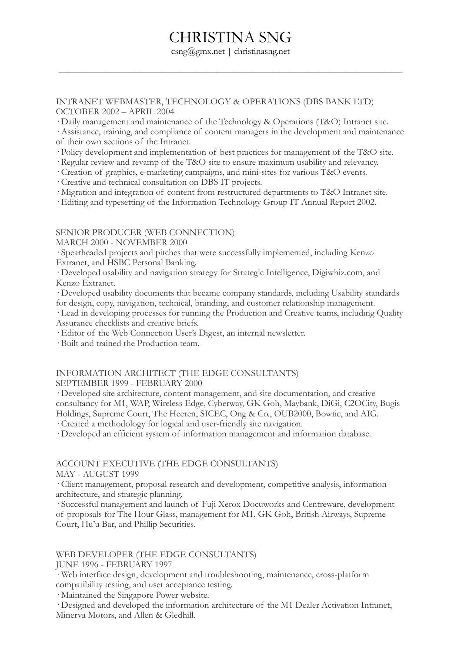csng@gmx.net | christinasng.net

 $\overline{\phantom{a}}$  , and the contract of the contract of the contract of the contract of the contract of the contract of the contract of the contract of the contract of the contract of the contract of the contract of the contrac

INTRANET WEBMASTER, TECHNOLOGY & OPERATIONS (DBS BANK LTD) OCTOBER 2002 – APRIL 2004

· Daily management and maintenance of the Technology & Operations (T&O) Intranet site.

· Assistance, training, and compliance of content managers in the development and maintenance of their own sections of the Intranet.

· Policy development and implementation of best practices for management of the T&O site.

· Regular review and revamp of the T&O site to ensure maximum usability and relevancy.

· Creation of graphics, e-marketing campaigns, and mini-sites for various T&O events.

· Creative and technical consultation on DBS IT projects.

· Migration and integration of content from restructured departments to T&O Intranet site.

· Editing and typesetting of the Information Technology Group IT Annual Report 2002.

#### SENIOR PRODUCER (WEB CONNECTION)

MARCH 2000 - NOVEMBER 2000

· Spearheaded projects and pitches that were successfully implemented, including Kenzo Extranet, and HSBC Personal Banking.

· Developed usability and navigation strategy for Strategic Intelligence, Digiwhiz.com, and Kenzo Extranet.

· Developed usability documents that became company standards, including Usability standards for design, copy, navigation, technical, branding, and customer relationship management.

· Lead in developing processes for running the Production and Creative teams, including Quality Assurance checklists and creative briefs.

· Editor of the Web Connection User's Digest, an internal newsletter.

· Built and trained the Production team.

#### INFORMATION ARCHITECT (THE EDGE CONSULTANTS) SEPTEMBER 1999 - FEBRUARY 2000

· Developed site architecture, content management, and site documentation, and creative consultancy for M1, WAP, Wireless Edge, Cyberway, GK Goh, Maybank, DiGi, C2OCity, Bugis Holdings, Supreme Court, The Heeren, SICEC, Ong & Co., OUB2000, Bowtie, and AIG.

· Created a methodology for logical and user-friendly site navigation.

· Developed an efficient system of information management and information database.

# ACCOUNT EXECUTIVE (THE EDGE CONSULTANTS)

MAY - AUGUST 1999

· Client management, proposal research and development, competitive analysis, information architecture, and strategic planning.

· Successful management and launch of Fuji Xerox Docuworks and Centreware, development of proposals for The Hour Glass, management for M1, GK Goh, British Airways, Supreme Court, Hu'u Bar, and Phillip Securities.

#### WEB DEVELOPER (THE EDGE CONSULTANTS)

#### JUNE 1996 - FEBRUARY 1997

· Web interface design, development and troubleshooting, maintenance, cross-platform compatibility testing, and user acceptance testing.

· Maintained the Singapore Power website.

· Designed and developed the information architecture of the M1 Dealer Activation Intranet, Minerva Motors, and Allen & Gledhill.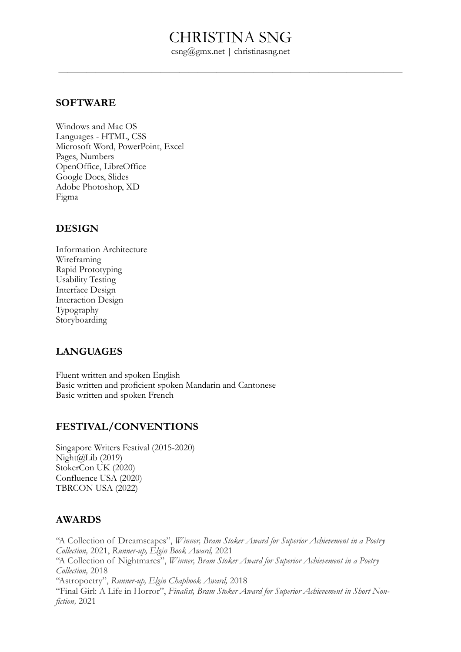csng@gmx.net | christinasng.net

 $\overline{\phantom{a}}$  , and the contract of the contract of the contract of the contract of the contract of the contract of the contract of the contract of the contract of the contract of the contract of the contract of the contrac

### **SOFTWARE**

Windows and Mac OS Languages - HTML, CSS Microsoft Word, PowerPoint, Excel Pages, Numbers OpenOffice, LibreOffice Google Docs, Slides Adobe Photoshop, XD Figma

# **DESIGN**

Information Architecture Wireframing Rapid Prototyping Usability Testing Interface Design Interaction Design Typography Storyboarding

# **LANGUAGES**

Fluent written and spoken English Basic written and proficient spoken Mandarin and Cantonese Basic written and spoken French

# **FESTIVAL/CONVENTIONS**

Singapore Writers Festival (2015-2020)  $Night@Lib(2019)$ StokerCon UK (2020) Confluence USA (2020) TBRCON USA (2022)

# **AWARDS**

"A Collection of Dreamscapes", *Winner, Bram Stoker Award for Superior Achievement in a Poetry Collection,* 2021, *Runner-up, Elgin Book Award,* 2021 "A Collection of Nightmares", *Winner, Bram Stoker Award for Superior Achievement in a Poetry Collection,* 2018 "Astropoetry", *Runner-up, Elgin Chapbook Award,* 2018 "Final Girl: A Life in Horror", *Finalist, Bram Stoker Award for Superior Achievement in Short Nonfiction,* 2021